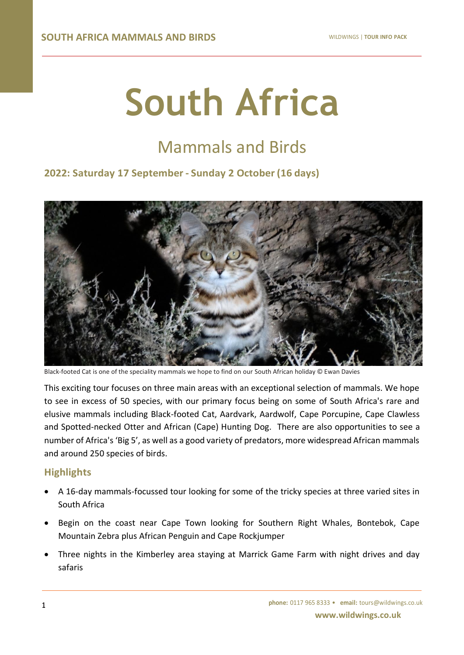# **South Africa**

# Mammals and Birds

# **2022: Saturday 17 September - Sunday 2 October (16 days)**



Black-footed Cat is one of the speciality mammals we hope to find on our South African holiday © Ewan Davies

This exciting tour focuses on three main areas with an exceptional selection of mammals. We hope to see in excess of 50 species, with our primary focus being on some of South Africa's rare and elusive mammals including Black-footed Cat, Aardvark, Aardwolf, Cape Porcupine, Cape Clawless and Spotted-necked Otter and African (Cape) Hunting Dog. There are also opportunities to see a number of Africa's 'Big 5', as well as a good variety of predators, more widespread African mammals and around 250 species of birds.

# **Highlights**

- A 16-day mammals-focussed tour looking for some of the tricky species at three varied sites in South Africa
- Begin on the coast near Cape Town looking for Southern Right Whales, Bontebok, Cape Mountain Zebra plus African Penguin and Cape Rockjumper
- Three nights in the Kimberley area staying at Marrick Game Farm with night drives and day safaris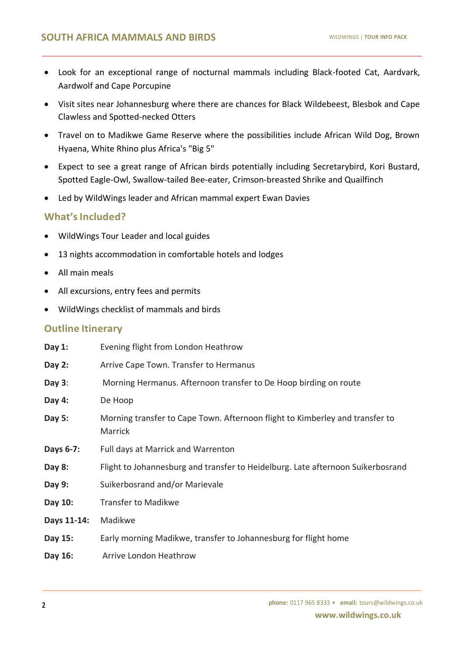- Look for an exceptional range of nocturnal mammals including Black-footed Cat, Aardvark, Aardwolf and Cape Porcupine
- Visit sites near Johannesburg where there are chances for Black Wildebeest, Blesbok and Cape Clawless and Spotted-necked Otters
- Travel on to Madikwe Game Reserve where the possibilities include African Wild Dog, Brown Hyaena, White Rhino plus Africa's "Big 5"
- Expect to see a great range of African birds potentially including Secretarybird, Kori Bustard, Spotted Eagle-Owl, Swallow-tailed Bee-eater, Crimson-breasted Shrike and Quailfinch
- Led by WildWings leader and African mammal expert Ewan Davies

# **What'sIncluded?**

- WildWings Tour Leader and local guides
- 13 nights accommodation in comfortable hotels and lodges
- All main meals
- All excursions, entry fees and permits
- WildWings checklist of mammals and birds

# **Outline Itinerary**

| Day 1:      | Evening flight from London Heathrow                                                     |
|-------------|-----------------------------------------------------------------------------------------|
| Day 2:      | Arrive Cape Town. Transfer to Hermanus                                                  |
| Day $3$ :   | Morning Hermanus. Afternoon transfer to De Hoop birding on route                        |
| Day 4:      | De Hoop                                                                                 |
| Day 5:      | Morning transfer to Cape Town. Afternoon flight to Kimberley and transfer to<br>Marrick |
| Days 6-7:   | Full days at Marrick and Warrenton                                                      |
| Day 8:      | Flight to Johannesburg and transfer to Heidelburg. Late afternoon Suikerbosrand         |
| Day 9:      | Suikerbosrand and/or Marievale                                                          |
| Day 10:     | <b>Transfer to Madikwe</b>                                                              |
| Days 11-14: | Madikwe                                                                                 |
| Day 15:     | Early morning Madikwe, transfer to Johannesburg for flight home                         |
| Day 16:     | Arrive London Heathrow                                                                  |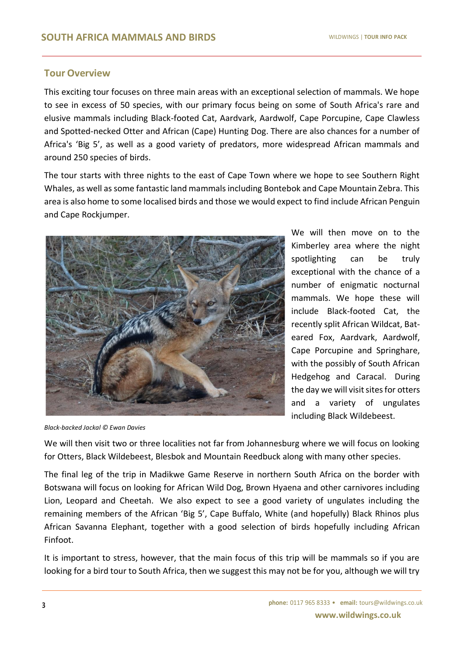# **Tour Overview**

This exciting tour focuses on three main areas with an exceptional selection of mammals. We hope to see in excess of 50 species, with our primary focus being on some of South Africa's rare and elusive mammals including Black-footed Cat, Aardvark, Aardwolf, Cape Porcupine, Cape Clawless and Spotted-necked Otter and African (Cape) Hunting Dog. There are also chances for a number of Africa's 'Big 5', as well as a good variety of predators, more widespread African mammals and around 250 species of birds.

The tour starts with three nights to the east of Cape Town where we hope to see Southern Right Whales, as well as some fantastic land mammals including Bontebok and Cape Mountain Zebra. This area is also home to some localised birds and those we would expect to find include African Penguin and Cape Rockjumper.



We will then move on to the Kimberley area where the night spotlighting can be truly exceptional with the chance of a number of enigmatic nocturnal mammals. We hope these will include Black-footed Cat, the recently split African Wildcat, Bateared Fox, Aardvark, Aardwolf, Cape Porcupine and Springhare, with the possibly of South African Hedgehog and Caracal. During the day we will visit sites for otters and a variety of ungulates including Black Wildebeest.

*Black-backed Jackal © Ewan Davies*

We will then visit two or three localities not far from Johannesburg where we will focus on looking for Otters, Black Wildebeest, Blesbok and Mountain Reedbuck along with many other species.

The final leg of the trip in Madikwe Game Reserve in northern South Africa on the border with Botswana will focus on looking for African Wild Dog, Brown Hyaena and other carnivores including Lion, Leopard and Cheetah. We also expect to see a good variety of ungulates including the remaining members of the African 'Big 5', Cape Buffalo, White (and hopefully) Black Rhinos plus African Savanna Elephant, together with a good selection of birds hopefully including African Finfoot.

It is important to stress, however, that the main focus of this trip will be mammals so if you are looking for a bird tour to South Africa, then we suggest this may not be for you, although we will try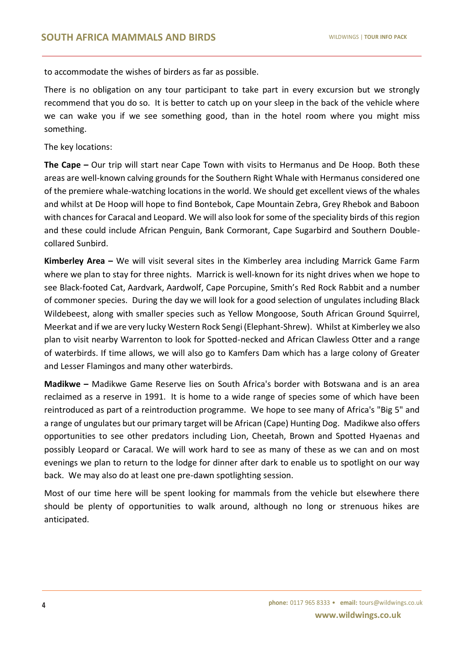to accommodate the wishes of birders as far as possible.

There is no obligation on any tour participant to take part in every excursion but we strongly recommend that you do so. It is better to catch up on your sleep in the back of the vehicle where we can wake you if we see something good, than in the hotel room where you might miss something.

The key locations:

**The Cape –** Our trip will start near Cape Town with visits to Hermanus and De Hoop. Both these areas are well-known calving grounds for the Southern Right Whale with Hermanus considered one of the premiere whale-watching locations in the world. We should get excellent views of the whales and whilst at De Hoop will hope to find Bontebok, Cape Mountain Zebra, Grey Rhebok and Baboon with chances for Caracal and Leopard. We will also look for some of the speciality birds of this region and these could include African Penguin, Bank Cormorant, Cape Sugarbird and Southern Doublecollared Sunbird.

**Kimberley Area –** We will visit several sites in the Kimberley area including Marrick Game Farm where we plan to stay for three nights. Marrick is well-known for its night drives when we hope to see Black-footed Cat, Aardvark, Aardwolf, Cape Porcupine, Smith's Red Rock Rabbit and a number of commoner species. During the day we will look for a good selection of ungulates including Black Wildebeest, along with smaller species such as Yellow Mongoose, South African Ground Squirrel, Meerkat and if we are very lucky Western Rock Sengi (Elephant-Shrew). Whilst at Kimberley we also plan to visit nearby Warrenton to look for Spotted-necked and African Clawless Otter and a range of waterbirds. If time allows, we will also go to Kamfers Dam which has a large colony of Greater and Lesser Flamingos and many other waterbirds.

**Madikwe –** Madikwe Game Reserve lies on South Africa's border with Botswana and is an area reclaimed as a reserve in 1991. It is home to a wide range of species some of which have been reintroduced as part of a reintroduction programme. We hope to see many of Africa's "Big 5" and a range of ungulates but our primary target will be African (Cape) Hunting Dog. Madikwe also offers opportunities to see other predators including Lion, Cheetah, Brown and Spotted Hyaenas and possibly Leopard or Caracal. We will work hard to see as many of these as we can and on most evenings we plan to return to the lodge for dinner after dark to enable us to spotlight on our way back. We may also do at least one pre-dawn spotlighting session.

Most of our time here will be spent looking for mammals from the vehicle but elsewhere there should be plenty of opportunities to walk around, although no long or strenuous hikes are anticipated.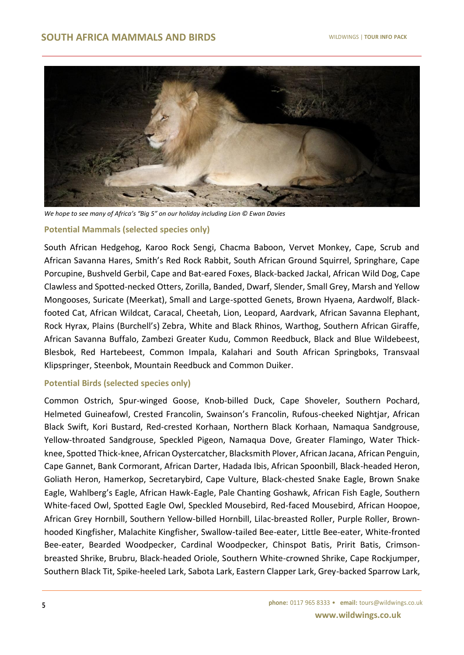

*We hope to see many of Africa's "Big 5" on our holiday including Lion © Ewan Davies*

#### **Potential Mammals (selected species only)**

South African Hedgehog, Karoo Rock Sengi, Chacma Baboon, Vervet Monkey, Cape, Scrub and African Savanna Hares, Smith's Red Rock Rabbit, South African Ground Squirrel, Springhare, Cape Porcupine, Bushveld Gerbil, Cape and Bat-eared Foxes, Black-backed Jackal, African Wild Dog, Cape Clawless and Spotted-necked Otters, Zorilla, Banded, Dwarf, Slender, Small Grey, Marsh and Yellow Mongooses, Suricate (Meerkat), Small and Large-spotted Genets, Brown Hyaena, Aardwolf, Blackfooted Cat, African Wildcat, Caracal, Cheetah, Lion, Leopard, Aardvark, African Savanna Elephant, Rock Hyrax, Plains (Burchell's) Zebra, White and Black Rhinos, Warthog, Southern African Giraffe, African Savanna Buffalo, Zambezi Greater Kudu, Common Reedbuck, Black and Blue Wildebeest, Blesbok, Red Hartebeest, Common Impala, Kalahari and South African Springboks, Transvaal Klipspringer, Steenbok, Mountain Reedbuck and Common Duiker.

#### **Potential Birds (selected species only)**

Common Ostrich, Spur-winged Goose, Knob-billed Duck, Cape Shoveler, Southern Pochard, Helmeted Guineafowl, Crested Francolin, Swainson's Francolin, Rufous-cheeked Nightjar, African Black Swift, Kori Bustard, Red-crested Korhaan, Northern Black Korhaan, Namaqua Sandgrouse, Yellow-throated Sandgrouse, Speckled Pigeon, Namaqua Dove, Greater Flamingo, Water Thickknee, Spotted Thick-knee, African Oystercatcher, Blacksmith Plover, African Jacana, African Penguin, Cape Gannet, Bank Cormorant, African Darter, Hadada Ibis, African Spoonbill, Black-headed Heron, Goliath Heron, Hamerkop, Secretarybird, Cape Vulture, Black-chested Snake Eagle, Brown Snake Eagle, Wahlberg's Eagle, African Hawk-Eagle, Pale Chanting Goshawk, African Fish Eagle, Southern White-faced Owl, Spotted Eagle Owl, Speckled Mousebird, Red-faced Mousebird, African Hoopoe, African Grey Hornbill, Southern Yellow-billed Hornbill, Lilac-breasted Roller, Purple Roller, Brownhooded Kingfisher, Malachite Kingfisher, Swallow-tailed Bee-eater, Little Bee-eater, White-fronted Bee-eater, Bearded Woodpecker, Cardinal Woodpecker, Chinspot Batis, Pririt Batis, Crimsonbreasted Shrike, Brubru, Black-headed Oriole, Southern White-crowned Shrike, Cape Rockjumper, Southern Black Tit, Spike-heeled Lark, Sabota Lark, Eastern Clapper Lark, Grey-backed Sparrow Lark,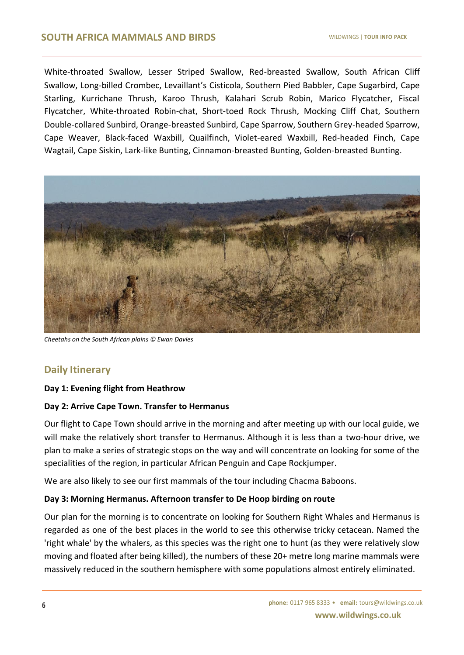White-throated Swallow, Lesser Striped Swallow, Red-breasted Swallow, South African Cliff Swallow, Long-billed Crombec, Levaillant's Cisticola, Southern Pied Babbler, Cape Sugarbird, Cape Starling, Kurrichane Thrush, Karoo Thrush, Kalahari Scrub Robin, Marico Flycatcher, Fiscal Flycatcher, White-throated Robin-chat, Short-toed Rock Thrush, Mocking Cliff Chat, Southern Double-collared Sunbird, Orange-breasted Sunbird, Cape Sparrow, Southern Grey-headed Sparrow, Cape Weaver, Black-faced Waxbill, Quailfinch, Violet-eared Waxbill, Red-headed Finch, Cape Wagtail, Cape Siskin, Lark-like Bunting, Cinnamon-breasted Bunting, Golden-breasted Bunting.



*Cheetahs on the South African plains © Ewan Davies*

# **Daily Itinerary**

# **Day 1: Evening flight from Heathrow**

# **Day 2: Arrive Cape Town. Transfer to Hermanus**

Our flight to Cape Town should arrive in the morning and after meeting up with our local guide, we will make the relatively short transfer to Hermanus. Although it is less than a two-hour drive, we plan to make a series of strategic stops on the way and will concentrate on looking for some of the specialities of the region, in particular African Penguin and Cape Rockjumper.

We are also likely to see our first mammals of the tour including Chacma Baboons.

# **Day 3: Morning Hermanus. Afternoon transfer to De Hoop birding on route**

Our plan for the morning is to concentrate on looking for Southern Right Whales and Hermanus is regarded as one of the best places in the world to see this otherwise tricky cetacean. Named the 'right whale' by the whalers, as this species was the right one to hunt (as they were relatively slow moving and floated after being killed), the numbers of these 20+ metre long marine mammals were massively reduced in the southern hemisphere with some populations almost entirely eliminated.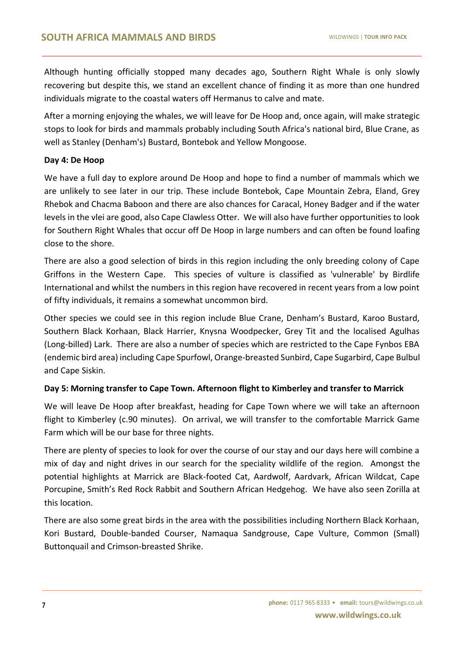Although hunting officially stopped many decades ago, Southern Right Whale is only slowly recovering but despite this, we stand an excellent chance of finding it as more than one hundred individuals migrate to the coastal waters off Hermanus to calve and mate.

After a morning enjoying the whales, we will leave for De Hoop and, once again, will make strategic stops to look for birds and mammals probably including South Africa's national bird, Blue Crane, as well as Stanley (Denham's) Bustard, Bontebok and Yellow Mongoose.

# **Day 4: De Hoop**

We have a full day to explore around De Hoop and hope to find a number of mammals which we are unlikely to see later in our trip. These include Bontebok, Cape Mountain Zebra, Eland, Grey Rhebok and Chacma Baboon and there are also chances for Caracal, Honey Badger and if the water levels in the vlei are good, also Cape Clawless Otter. We will also have further opportunities to look for Southern Right Whales that occur off De Hoop in large numbers and can often be found loafing close to the shore.

There are also a good selection of birds in this region including the only breeding colony of Cape Griffons in the Western Cape. This species of vulture is classified as 'vulnerable' by Birdlife International and whilst the numbers in this region have recovered in recent years from a low point of fifty individuals, it remains a somewhat uncommon bird.

Other species we could see in this region include Blue Crane, Denham's Bustard, Karoo Bustard, Southern Black Korhaan, Black Harrier, Knysna Woodpecker, Grey Tit and the localised Agulhas (Long-billed) Lark. There are also a number of species which are restricted to the Cape Fynbos EBA (endemic bird area) including Cape Spurfowl, Orange-breasted Sunbird, Cape Sugarbird, Cape Bulbul and Cape Siskin.

# **Day 5: Morning transfer to Cape Town. Afternoon flight to Kimberley and transfer to Marrick**

We will leave De Hoop after breakfast, heading for Cape Town where we will take an afternoon flight to Kimberley (c.90 minutes). On arrival, we will transfer to the comfortable Marrick Game Farm which will be our base for three nights.

There are plenty of species to look for over the course of our stay and our days here will combine a mix of day and night drives in our search for the speciality wildlife of the region. Amongst the potential highlights at Marrick are Black-footed Cat, Aardwolf, Aardvark, African Wildcat, Cape Porcupine, Smith's Red Rock Rabbit and Southern African Hedgehog. We have also seen Zorilla at this location.

There are also some great birds in the area with the possibilities including Northern Black Korhaan, Kori Bustard, Double-banded Courser, Namaqua Sandgrouse, Cape Vulture, Common (Small) Buttonquail and Crimson-breasted Shrike.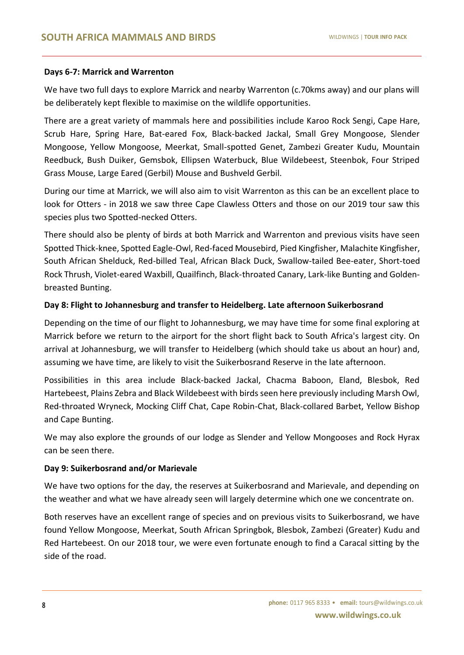#### **Days 6-7: Marrick and Warrenton**

We have two full days to explore Marrick and nearby Warrenton (c.70kms away) and our plans will be deliberately kept flexible to maximise on the wildlife opportunities.

There are a great variety of mammals here and possibilities include Karoo Rock Sengi, Cape Hare, Scrub Hare, Spring Hare, Bat-eared Fox, Black-backed Jackal, Small Grey Mongoose, Slender Mongoose, Yellow Mongoose, Meerkat, Small-spotted Genet, Zambezi Greater Kudu, Mountain Reedbuck, Bush Duiker, Gemsbok, Ellipsen Waterbuck, Blue Wildebeest, Steenbok, Four Striped Grass Mouse, Large Eared (Gerbil) Mouse and Bushveld Gerbil.

During our time at Marrick, we will also aim to visit Warrenton as this can be an excellent place to look for Otters - in 2018 we saw three Cape Clawless Otters and those on our 2019 tour saw this species plus two Spotted-necked Otters.

There should also be plenty of birds at both Marrick and Warrenton and previous visits have seen Spotted Thick-knee, Spotted Eagle-Owl, Red-faced Mousebird, Pied Kingfisher, Malachite Kingfisher, South African Shelduck, Red-billed Teal, African Black Duck, Swallow-tailed Bee-eater, Short-toed Rock Thrush, Violet-eared Waxbill, Quailfinch, Black-throated Canary, Lark-like Bunting and Goldenbreasted Bunting.

# **Day 8: Flight to Johannesburg and transfer to Heidelberg. Late afternoon Suikerbosrand**

Depending on the time of our flight to Johannesburg, we may have time for some final exploring at Marrick before we return to the airport for the short flight back to South Africa's largest city. On arrival at Johannesburg, we will transfer to Heidelberg (which should take us about an hour) and, assuming we have time, are likely to visit the Suikerbosrand Reserve in the late afternoon.

Possibilities in this area include Black-backed Jackal, Chacma Baboon, Eland, Blesbok, Red Hartebeest, Plains Zebra and Black Wildebeest with birds seen here previously including Marsh Owl, Red-throated Wryneck, Mocking Cliff Chat, Cape Robin-Chat, Black-collared Barbet, Yellow Bishop and Cape Bunting.

We may also explore the grounds of our lodge as Slender and Yellow Mongooses and Rock Hyrax can be seen there.

# **Day 9: Suikerbosrand and/or Marievale**

We have two options for the day, the reserves at Suikerbosrand and Marievale, and depending on the weather and what we have already seen will largely determine which one we concentrate on.

Both reserves have an excellent range of species and on previous visits to Suikerbosrand, we have found Yellow Mongoose, Meerkat, South African Springbok, Blesbok, Zambezi (Greater) Kudu and Red Hartebeest. On our 2018 tour, we were even fortunate enough to find a Caracal sitting by the side of the road.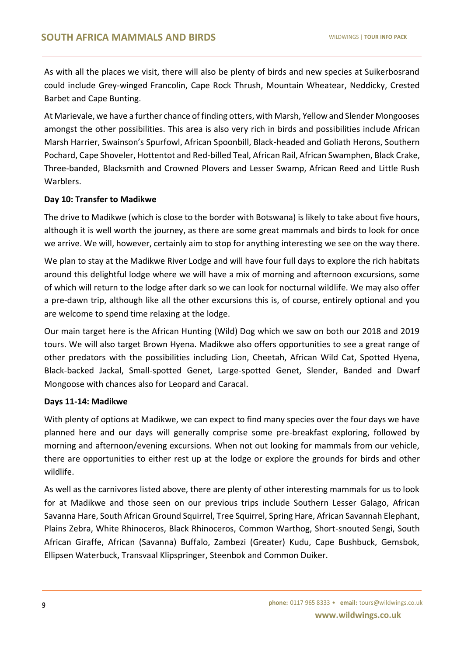As with all the places we visit, there will also be plenty of birds and new species at Suikerbosrand could include Grey-winged Francolin, Cape Rock Thrush, Mountain Wheatear, Neddicky, Crested Barbet and Cape Bunting.

At Marievale, we have a further chance of finding otters, with Marsh, Yellow and Slender Mongooses amongst the other possibilities. This area is also very rich in birds and possibilities include African Marsh Harrier, Swainson's Spurfowl, African Spoonbill, Black-headed and Goliath Herons, Southern Pochard, Cape Shoveler, Hottentot and Red-billed Teal, African Rail, African Swamphen, Black Crake, Three-banded, Blacksmith and Crowned Plovers and Lesser Swamp, African Reed and Little Rush Warblers.

# **Day 10: Transfer to Madikwe**

The drive to Madikwe (which is close to the border with Botswana) is likely to take about five hours, although it is well worth the journey, as there are some great mammals and birds to look for once we arrive. We will, however, certainly aim to stop for anything interesting we see on the way there.

We plan to stay at the Madikwe River Lodge and will have four full days to explore the rich habitats around this delightful lodge where we will have a mix of morning and afternoon excursions, some of which will return to the lodge after dark so we can look for nocturnal wildlife. We may also offer a pre-dawn trip, although like all the other excursions this is, of course, entirely optional and you are welcome to spend time relaxing at the lodge.

Our main target here is the African Hunting (Wild) Dog which we saw on both our 2018 and 2019 tours. We will also target Brown Hyena. Madikwe also offers opportunities to see a great range of other predators with the possibilities including Lion, Cheetah, African Wild Cat, Spotted Hyena, Black-backed Jackal, Small-spotted Genet, Large-spotted Genet, Slender, Banded and Dwarf Mongoose with chances also for Leopard and Caracal.

# **Days 11-14: Madikwe**

With plenty of options at Madikwe, we can expect to find many species over the four days we have planned here and our days will generally comprise some pre-breakfast exploring, followed by morning and afternoon/evening excursions. When not out looking for mammals from our vehicle, there are opportunities to either rest up at the lodge or explore the grounds for birds and other wildlife.

As well as the carnivores listed above, there are plenty of other interesting mammals for us to look for at Madikwe and those seen on our previous trips include Southern Lesser Galago, African Savanna Hare, South African Ground Squirrel, Tree Squirrel, Spring Hare, African Savannah Elephant, Plains Zebra, White Rhinoceros, Black Rhinoceros, Common Warthog, Short-snouted Sengi, South African Giraffe, African (Savanna) Buffalo, Zambezi (Greater) Kudu, Cape Bushbuck, Gemsbok, Ellipsen Waterbuck, Transvaal Klipspringer, Steenbok and Common Duiker.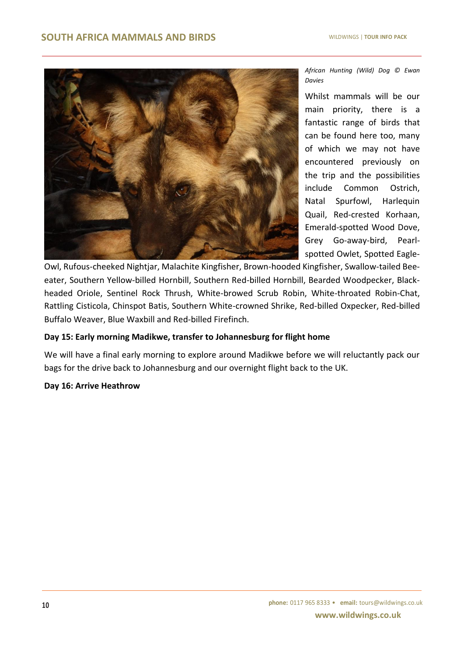

*African Hunting (Wild) Dog © Ewan Davies*

Whilst mammals will be our main priority, there is a fantastic range of birds that can be found here too, many of which we may not have encountered previously on the trip and the possibilities include Common Ostrich, Natal Spurfowl, Harlequin Quail, Red-crested Korhaan, Emerald-spotted Wood Dove, Grey Go-away-bird, Pearlspotted Owlet, Spotted Eagle-

Owl, Rufous-cheeked Nightjar, Malachite Kingfisher, Brown-hooded Kingfisher, Swallow-tailed Beeeater, Southern Yellow-billed Hornbill, Southern Red-billed Hornbill, Bearded Woodpecker, Blackheaded Oriole, Sentinel Rock Thrush, White-browed Scrub Robin, White-throated Robin-Chat, Rattling Cisticola, Chinspot Batis, Southern White-crowned Shrike, Red-billed Oxpecker, Red-billed Buffalo Weaver, Blue Waxbill and Red-billed Firefinch.

# **Day 15: Early morning Madikwe, transfer to Johannesburg for flight home**

We will have a final early morning to explore around Madikwe before we will reluctantly pack our bags for the drive back to Johannesburg and our overnight flight back to the UK.

#### **Day 16: Arrive Heathrow**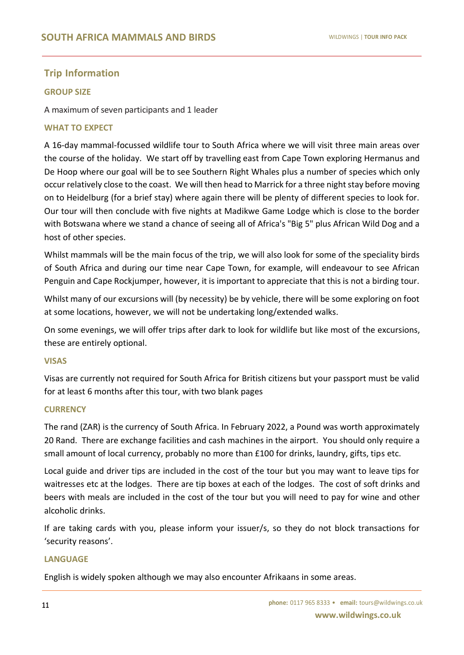# **Trip Information**

#### **GROUP SIZE**

A maximum of seven participants and 1 leader

#### **WHAT TO EXPECT**

A 16-day mammal-focussed wildlife tour to South Africa where we will visit three main areas over the course of the holiday. We start off by travelling east from Cape Town exploring Hermanus and De Hoop where our goal will be to see Southern Right Whales plus a number of species which only occur relatively close to the coast. We will then head to Marrick for a three night stay before moving on to Heidelburg (for a brief stay) where again there will be plenty of different species to look for. Our tour will then conclude with five nights at Madikwe Game Lodge which is close to the border with Botswana where we stand a chance of seeing all of Africa's "Big 5" plus African Wild Dog and a host of other species.

Whilst mammals will be the main focus of the trip, we will also look for some of the speciality birds of South Africa and during our time near Cape Town, for example, will endeavour to see African Penguin and Cape Rockjumper, however, it is important to appreciate that this is not a birding tour.

Whilst many of our excursions will (by necessity) be by vehicle, there will be some exploring on foot at some locations, however, we will not be undertaking long/extended walks.

On some evenings, we will offer trips after dark to look for wildlife but like most of the excursions, these are entirely optional.

#### **VISAS**

Visas are currently not required for South Africa for British citizens but your passport must be valid for at least 6 months after this tour, with two blank pages

#### **CURRENCY**

The rand (ZAR) is the currency of South Africa. In February 2022, a Pound was worth approximately 20 Rand. There are exchange facilities and cash machines in the airport. You should only require a small amount of local currency, probably no more than £100 for drinks, laundry, gifts, tips etc.

Local guide and driver tips are included in the cost of the tour but you may want to leave tips for waitresses etc at the lodges. There are tip boxes at each of the lodges. The cost of soft drinks and beers with meals are included in the cost of the tour but you will need to pay for wine and other alcoholic drinks.

If are taking cards with you, please inform your issuer/s, so they do not block transactions for 'security reasons'.

#### **LANGUAGE**

English is widely spoken although we may also encounter Afrikaans in some areas.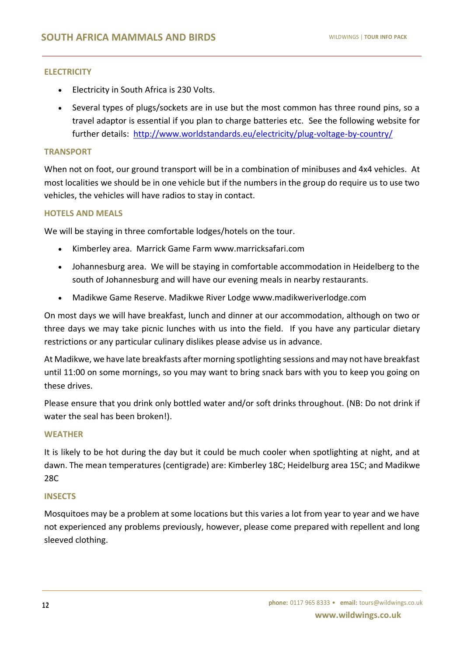#### **ELECTRICITY**

- Electricity in South Africa is 230 Volts.
- Several types of plugs/sockets are in use but the most common has three round pins, so a travel adaptor is essential if you plan to charge batteries etc. See the following website for further details: <http://www.worldstandards.eu/electricity/plug-voltage-by-country/>

#### **TRANSPORT**

When not on foot, our ground transport will be in a combination of minibuses and 4x4 vehicles. At most localities we should be in one vehicle but if the numbers in the group do require us to use two vehicles, the vehicles will have radios to stay in contact.

# **HOTELS AND MEALS**

We will be staying in three comfortable lodges/hotels on the tour.

- Kimberley area. Marrick Game Farm www.marricksafari.com
- Johannesburg area. We will be staying in comfortable accommodation in Heidelberg to the south of Johannesburg and will have our evening meals in nearby restaurants.
- Madikwe Game Reserve. Madikwe River Lodge www.madikweriverlodge.com

On most days we will have breakfast, lunch and dinner at our accommodation, although on two or three days we may take picnic lunches with us into the field. If you have any particular dietary restrictions or any particular culinary dislikes please advise us in advance.

At Madikwe, we have late breakfasts after morning spotlighting sessions and may not have breakfast until 11:00 on some mornings, so you may want to bring snack bars with you to keep you going on these drives.

Please ensure that you drink only bottled water and/or soft drinks throughout. (NB: Do not drink if water the seal has been broken!).

#### **WEATHER**

It is likely to be hot during the day but it could be much cooler when spotlighting at night, and at dawn. The mean temperatures (centigrade) are: Kimberley 18C; Heidelburg area 15C; and Madikwe 28C

# **INSECTS**

Mosquitoes may be a problem at some locations but this varies a lot from year to year and we have not experienced any problems previously, however, please come prepared with repellent and long sleeved clothing.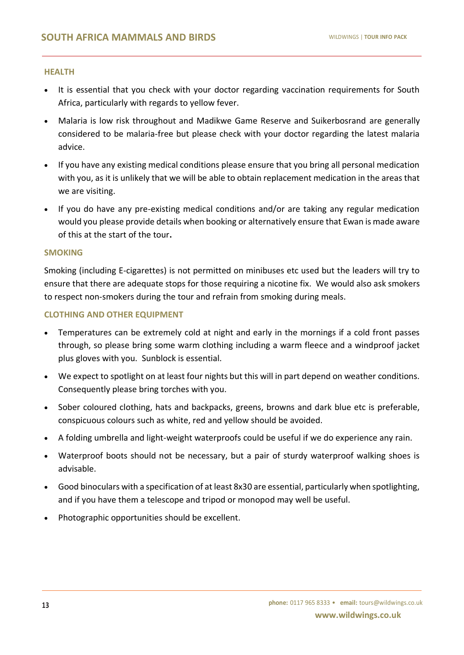#### **HEALTH**

- It is essential that you check with your doctor regarding vaccination requirements for South Africa, particularly with regards to yellow fever.
- Malaria is low risk throughout and Madikwe Game Reserve and Suikerbosrand are generally considered to be malaria-free but please check with your doctor regarding the latest malaria advice.
- If you have any existing medical conditions please ensure that you bring all personal medication with you, as it is unlikely that we will be able to obtain replacement medication in the areas that we are visiting.
- If you do have any pre-existing medical conditions and/or are taking any regular medication would you please provide details when booking or alternatively ensure that Ewan is made aware of this at the start of the tour**.**

#### **SMOKING**

Smoking (including E-cigarettes) is not permitted on minibuses etc used but the leaders will try to ensure that there are adequate stops for those requiring a nicotine fix. We would also ask smokers to respect non-smokers during the tour and refrain from smoking during meals.

#### **CLOTHING AND OTHER EQUIPMENT**

- Temperatures can be extremely cold at night and early in the mornings if a cold front passes through, so please bring some warm clothing including a warm fleece and a windproof jacket plus gloves with you. Sunblock is essential.
- We expect to spotlight on at least four nights but this will in part depend on weather conditions. Consequently please bring torches with you.
- Sober coloured clothing, hats and backpacks, greens, browns and dark blue etc is preferable, conspicuous colours such as white, red and yellow should be avoided.
- A folding umbrella and light-weight waterproofs could be useful if we do experience any rain.
- Waterproof boots should not be necessary, but a pair of sturdy waterproof walking shoes is advisable.
- Good binoculars with a specification of at least 8x30 are essential, particularly when spotlighting, and if you have them a telescope and tripod or monopod may well be useful.
- Photographic opportunities should be excellent.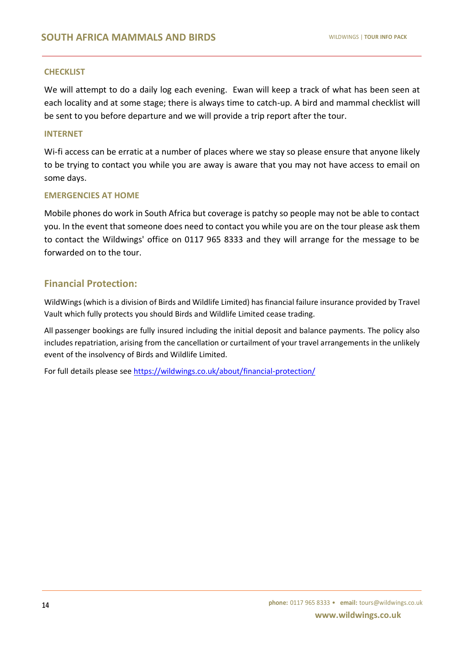#### **CHECKLIST**

We will attempt to do a daily log each evening. Ewan will keep a track of what has been seen at each locality and at some stage; there is always time to catch-up. A bird and mammal checklist will be sent to you before departure and we will provide a trip report after the tour.

#### **INTERNET**

Wi-fi access can be erratic at a number of places where we stay so please ensure that anyone likely to be trying to contact you while you are away is aware that you may not have access to email on some days.

#### **EMERGENCIES AT HOME**

Mobile phones do work in South Africa but coverage is patchy so people may not be able to contact you. In the event that someone does need to contact you while you are on the tour please ask them to contact the Wildwings' office on 0117 965 8333 and they will arrange for the message to be forwarded on to the tour.

# **Financial Protection:**

WildWings (which is a division of Birds and Wildlife Limited) has financial failure insurance provided by Travel Vault which fully protects you should Birds and Wildlife Limited cease trading.

All passenger bookings are fully insured including the initial deposit and balance payments. The policy also includes repatriation, arising from the cancellation or curtailment of your travel arrangements in the unlikely event of the insolvency of Birds and Wildlife Limited.

For full details please see <https://wildwings.co.uk/about/financial-protection/>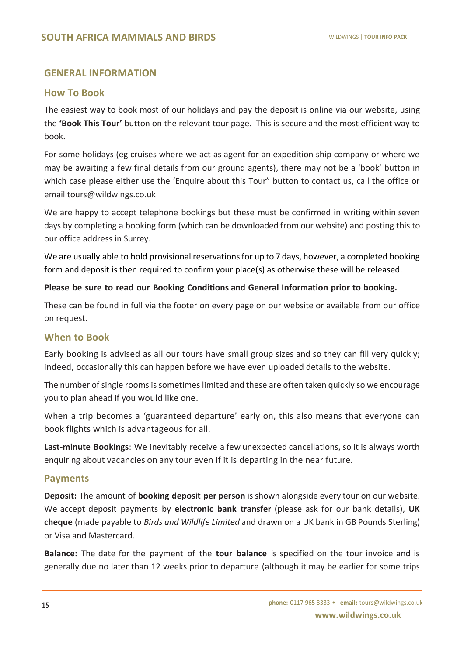# **GENERAL INFORMATION**

# **How To Book**

The easiest way to book most of our holidays and pay the deposit is online via our website, using the **'Book This Tour'** button on the relevant tour page. This is secure and the most efficient way to book.

For some holidays (eg cruises where we act as agent for an expedition ship company or where we may be awaiting a few final details from our ground agents), there may not be a 'book' button in which case please either use the 'Enquire about this Tour" button to contact us, call the office or email tours@wildwings.co.uk

We are happy to accept telephone bookings but these must be confirmed in writing within seven days by completing a booking form (which can be downloaded from our website) and posting this to our office address in Surrey.

We are usually able to hold provisional reservations for up to 7 days, however, a completed booking form and deposit is then required to confirm your place(s) as otherwise these will be released.

# **Please be sure to read our Booking Conditions and General Information prior to booking.**

These can be found in full via the footer on every page on our website or available from our office on request.

# **When to Book**

Early booking is advised as all our tours have small group sizes and so they can fill very quickly; indeed, occasionally this can happen before we have even uploaded details to the website.

The number of single rooms is sometimes limited and these are often taken quickly so we encourage you to plan ahead if you would like one.

When a trip becomes a 'guaranteed departure' early on, this also means that everyone can book flights which is advantageous for all.

**Last-minute Bookings**: We inevitably receive a few unexpected cancellations, so it is always worth enquiring about vacancies on any tour even if it is departing in the near future.

# **Payments**

**Deposit:** The amount of **booking deposit per person** isshown alongside every tour on our website. We accept deposit payments by **electronic bank transfer** (please ask for our bank details), **UK cheque** (made payable to *Birds and Wildlife Limited* and drawn on a UK bank in GB Pounds Sterling) or Visa and Mastercard.

**Balance:** The date for the payment of the **tour balance** is specified on the tour invoice and is generally due no later than 12 weeks prior to departure (although it may be earlier for some trips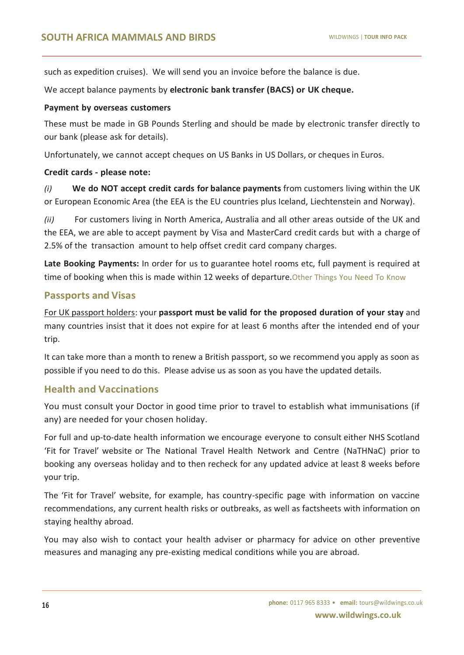such as expedition cruises). We will send you an invoice before the balance is due.

We accept balance payments by **electronic bank transfer (BACS) or UK cheque.**

# **Payment by overseas customers**

These must be made in GB Pounds Sterling and should be made by electronic transfer directly to our bank (please ask for details).

Unfortunately, we cannot accept cheques on US Banks in US Dollars, or cheques in Euros.

# **Credit cards - please note:**

*(i)* **We do NOT accept credit cards for balance payments** from customers living within the UK or European Economic Area (the EEA is the EU countries plus Iceland, Liechtenstein and Norway).

*(ii)* For customers living in North America, Australia and all other areas outside of the UK and the EEA, we are able to accept payment by Visa and MasterCard credit cards but with a charge of 2.5% of the transaction amount to help offset credit card company charges.

**Late Booking Payments:** In order for us to guarantee hotel rooms etc, full payment is required at time of booking when this is made within 12 weeks of departure. Other Things You Need To Know

# **Passports and Visas**

For UK passport holders: your **passport must be valid for the proposed duration of your stay** and many countries insist that it does not expire for at least 6 months after the intended end of your trip.

It can take more than a month to renew a British passport, so we recommend you apply as soon as possible if you need to do this. Please advise us as soon as you have the updated details.

# **Health and Vaccinations**

You must consult your Doctor in good time prior to travel to establish what immunisations (if any) are needed for your chosen holiday.

For full and up-to-date health information we encourage everyone to consult either NHS Scotland 'Fit for Travel' website or The National Travel Health Network and Centre (NaTHNaC) prior to booking any overseas holiday and to then recheck for any updated advice at least 8 weeks before your trip.

The 'Fit for Travel' website, for example, has country-specific page with information on vaccine recommendations, any current health risks or outbreaks, as well as factsheets with information on staying healthy abroad.

You may also wish to contact your health adviser or pharmacy for advice on other preventive measures and managing any pre-existing medical conditions while you are abroad.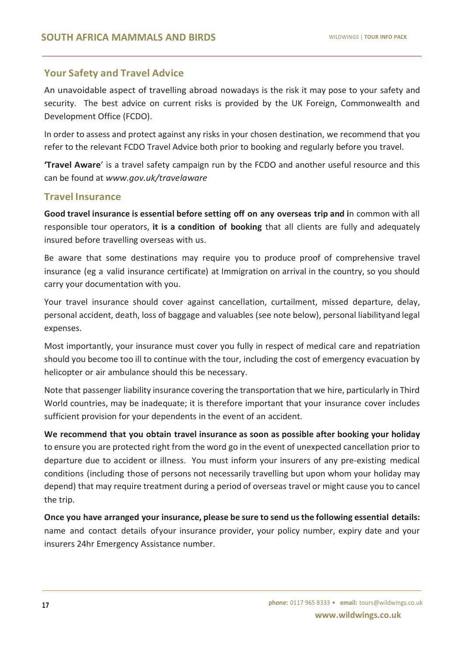# **Your Safety and Travel Advice**

An unavoidable aspect of travelling abroad nowadays is the risk it may pose to your safety and security. The best advice on current risks is provided by the UK Foreign, Commonwealth and Development Office (FCDO).

In order to assess and protect against any risks in your chosen destination, we recommend that you refer to the relevant FCDO Travel Advice both prior to booking and regularly before you travel.

**'Travel Aware**' is a travel safety campaign run by the FCDO and another useful resource and this can be found at *[www.gov.uk/travelaware](http://www.gov.uk/travelaware)*

# **Travel Insurance**

**Good travel insurance is essential before setting off on any overseas trip and i**n common with all responsible tour operators, **it is a condition of booking** that all clients are fully and adequately insured before travelling overseas with us.

Be aware that some destinations may require you to produce proof of comprehensive travel insurance (eg a valid insurance certificate) at Immigration on arrival in the country, so you should carry your documentation with you.

Your travel insurance should cover against cancellation, curtailment, missed departure, delay, personal accident, death, loss of baggage and valuables (see note below), personal liabilityand legal expenses.

Most importantly, your insurance must cover you fully in respect of medical care and repatriation should you become too ill to continue with the tour, including the cost of emergency evacuation by helicopter or air ambulance should this be necessary.

Note that passenger liability insurance covering the transportation that we hire, particularly in Third World countries, may be inadequate; it is therefore important that your insurance cover includes sufficient provision for your dependents in the event of an accident.

**We recommend that you obtain travel insurance as soon as possible after booking your holiday** to ensure you are protected right from the word go in the event of unexpected cancellation prior to departure due to accident or illness. You must inform your insurers of any pre-existing medical conditions (including those of persons not necessarily travelling but upon whom your holiday may depend) that may require treatment during a period of overseas travel or might cause you to cancel the trip.

**Once you have arranged your insurance, please be sure to send usthe following essential details:** name and contact details ofyour insurance provider, your policy number, expiry date and your insurers 24hr Emergency Assistance number.